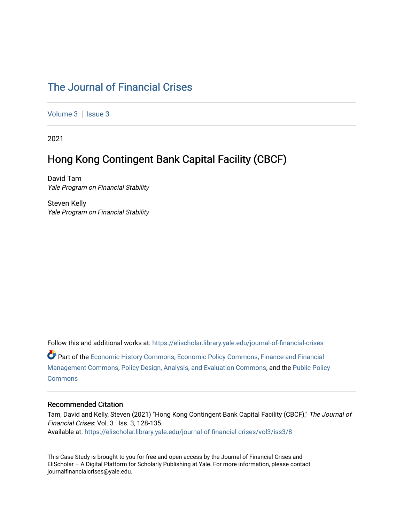## [The Journal of Financial Crises](https://elischolar.library.yale.edu/journal-of-financial-crises)

[Volume 3](https://elischolar.library.yale.edu/journal-of-financial-crises/vol3) | Issue 3

2021

## Hong Kong Contingent Bank Capital Facility (CBCF)

David Tam Yale Program on Financial Stability

Steven Kelly Yale Program on Financial Stability

Follow this and additional works at: [https://elischolar.library.yale.edu/journal-of-financial-crises](https://elischolar.library.yale.edu/journal-of-financial-crises?utm_source=elischolar.library.yale.edu%2Fjournal-of-financial-crises%2Fvol3%2Fiss3%2F8&utm_medium=PDF&utm_campaign=PDFCoverPages)  Part of the [Economic History Commons](http://network.bepress.com/hgg/discipline/343?utm_source=elischolar.library.yale.edu%2Fjournal-of-financial-crises%2Fvol3%2Fiss3%2F8&utm_medium=PDF&utm_campaign=PDFCoverPages), [Economic Policy Commons,](http://network.bepress.com/hgg/discipline/1025?utm_source=elischolar.library.yale.edu%2Fjournal-of-financial-crises%2Fvol3%2Fiss3%2F8&utm_medium=PDF&utm_campaign=PDFCoverPages) [Finance and Financial](http://network.bepress.com/hgg/discipline/631?utm_source=elischolar.library.yale.edu%2Fjournal-of-financial-crises%2Fvol3%2Fiss3%2F8&utm_medium=PDF&utm_campaign=PDFCoverPages)  [Management Commons](http://network.bepress.com/hgg/discipline/631?utm_source=elischolar.library.yale.edu%2Fjournal-of-financial-crises%2Fvol3%2Fiss3%2F8&utm_medium=PDF&utm_campaign=PDFCoverPages), [Policy Design, Analysis, and Evaluation Commons,](http://network.bepress.com/hgg/discipline/1032?utm_source=elischolar.library.yale.edu%2Fjournal-of-financial-crises%2Fvol3%2Fiss3%2F8&utm_medium=PDF&utm_campaign=PDFCoverPages) and the [Public Policy](http://network.bepress.com/hgg/discipline/400?utm_source=elischolar.library.yale.edu%2Fjournal-of-financial-crises%2Fvol3%2Fiss3%2F8&utm_medium=PDF&utm_campaign=PDFCoverPages)  **[Commons](http://network.bepress.com/hgg/discipline/400?utm_source=elischolar.library.yale.edu%2Fjournal-of-financial-crises%2Fvol3%2Fiss3%2F8&utm_medium=PDF&utm_campaign=PDFCoverPages)** 

#### Recommended Citation

Tam, David and Kelly, Steven (2021) "Hong Kong Contingent Bank Capital Facility (CBCF)," The Journal of Financial Crises: Vol. 3 : Iss. 3, 128-135. Available at: [https://elischolar.library.yale.edu/journal-of-financial-crises/vol3/iss3/8](https://elischolar.library.yale.edu/journal-of-financial-crises/vol3/iss3/8?utm_source=elischolar.library.yale.edu%2Fjournal-of-financial-crises%2Fvol3%2Fiss3%2F8&utm_medium=PDF&utm_campaign=PDFCoverPages) 

This Case Study is brought to you for free and open access by the Journal of Financial Crises and EliScholar – A Digital Platform for Scholarly Publishing at Yale. For more information, please contact journalfinancialcrises@yale.edu.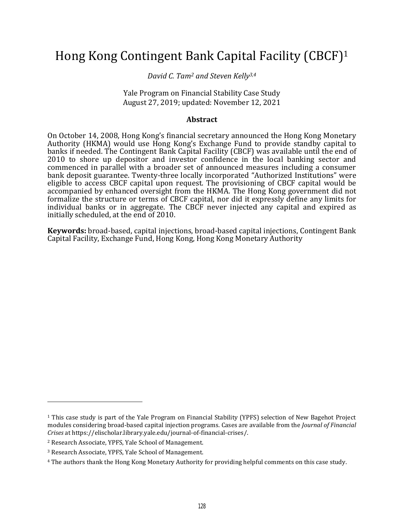# Hong Kong Contingent Bank Capital Facility (CBCF)<sup>1</sup>

*David C. Tam<sup>2</sup> and Steven Kelly3,4*

Yale Program on Financial Stability Case Study August 27, 2019; updated: November 12, 2021

#### **Abstract**

On October 14, 2008, Hong Kong's financial secretary announced the Hong Kong Monetary Authority (HKMA) would use Hong Kong's Exchange Fund to provide standby capital to banks if needed. The Contingent Bank Capital Facility (CBCF) was available until the end of 2010 to shore up depositor and investor confidence in the local banking sector and commenced in parallel with a broader set of announced measures including a consumer bank deposit guarantee. Twenty-three locally incorporated "Authorized Institutions" were eligible to access CBCF capital upon request. The provisioning of CBCF capital would be accompanied by enhanced oversight from the HKMA. The Hong Kong government did not formalize the structure or terms of CBCF capital, nor did it expressly define any limits for individual banks or in aggregate. The CBCF never injected any capital and expired as initially scheduled, at the end of 2010.

**Keywords:** broad-based, capital injections, broad-based capital injections, Contingent Bank Capital Facility, Exchange Fund, Hong Kong, Hong Kong Monetary Authority

<sup>1</sup> This case study is part of the Yale Program on Financial Stability (YPFS) selection of New Bagehot Project modules considering broad-based capital injection programs. Cases are available from the *Journal of Financial Crises* at https://elischolar.library.yale.edu/journal-of-financial-crises/.

<sup>2</sup> Research Associate, YPFS, Yale School of Management.

<sup>3</sup> Research Associate, YPFS, Yale School of Management.

<sup>4</sup> The authors thank the Hong Kong Monetary Authority for providing helpful comments on this case study.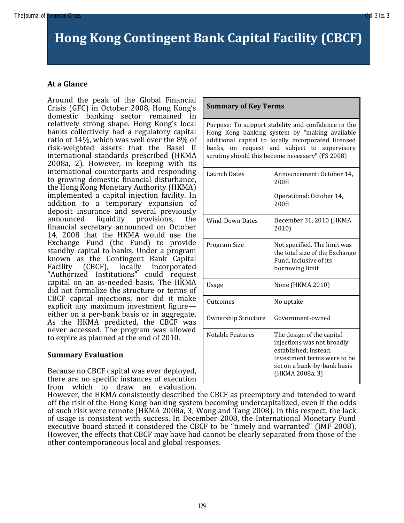# **Hong Kong Contingent Bank Capital Facility (CBCF)**

## **At a Glance**

Around the peak of the Global Financial Crisis (GFC) in October 2008, Hong Kong's domestic banking sector remained in relatively strong shape. Hong Kong's local banks collectively had a regulatory capital ratio of 14%, which was well over the 8% of risk-weighted assets that the Basel II international standards prescribed (HKMA 2008a, 2). However, in keeping with its international counterparts and responding to growing domestic financial disturbance, the Hong Kong Monetary Authority (HKMA) implemented a capital injection facility. In addition to a temporary expansion of deposit insurance and several previously announced liquidity provisions, the financial secretary announced on October 14, 2008 that the HKMA would use the Exchange Fund (the Fund) to provide standby capital to banks. Under a program known as the Contingent Bank Capital Facility (CBCF), locally incorporated "Authorized Institutions" could request capital on an as-needed basis. The HKMA did not formalize the structure or terms of CBCF capital injections, nor did it make explicit any maximum investment figure either on a per-bank basis or in aggregate. As the HKMA predicted, the CBCF was never accessed. The program was allowed to expire as planned at the end of 2010.

#### **Summary Evaluation**

Because no CBCF capital was ever deployed, there are no specific instances of execution from which to draw an evaluation.

| <b>Summary of Key Terms</b>                                                                                                                                                                                                                                     |                                                                                                                                                                   |  |
|-----------------------------------------------------------------------------------------------------------------------------------------------------------------------------------------------------------------------------------------------------------------|-------------------------------------------------------------------------------------------------------------------------------------------------------------------|--|
| Purpose: To support stability and confidence in the<br>Hong Kong banking system by "making available<br>additional capital to locally incorporated licensed<br>banks, on request and subject to supervisory<br>scrutiny should this become necessary" (FS 2008) |                                                                                                                                                                   |  |
| <b>Launch Dates</b>                                                                                                                                                                                                                                             | Announcement: October 14,<br>2008                                                                                                                                 |  |
|                                                                                                                                                                                                                                                                 | Operational: October 14,<br>2008                                                                                                                                  |  |
| <b>Wind-Down Dates</b>                                                                                                                                                                                                                                          | December 31, 2010 (HKMA<br>2010)                                                                                                                                  |  |
| Program Size                                                                                                                                                                                                                                                    | Not specified. The limit was<br>the total size of the Exchange<br>Fund, inclusive of its<br>borrowing limit                                                       |  |
| Usage                                                                                                                                                                                                                                                           | None (HKMA 2010)                                                                                                                                                  |  |
| Outcomes                                                                                                                                                                                                                                                        | No uptake                                                                                                                                                         |  |
| Ownership Structure                                                                                                                                                                                                                                             | Government-owned                                                                                                                                                  |  |
| <b>Notable Features</b>                                                                                                                                                                                                                                         | The design of the capital<br>injections was not broadly<br>established; instead,<br>investment terms were to be<br>set on a bank-by-bank basis<br>(HKMA 2008a, 3) |  |

However, the HKMA consistently described the CBCF as preemptory and intended to ward off the risk of the Hong Kong banking system becoming undercapitalized, even if the odds of such risk were remote (HKMA 2008a, 3; Wong and Tang 2008). In this respect, the lack of usage is consistent with success. In December 2008, the International Monetary Fund executive board stated it considered the CBCF to be "timely and warranted" (IMF 2008). However, the effects that CBCF may have had cannot be clearly separated from those of the other contemporaneous local and global responses.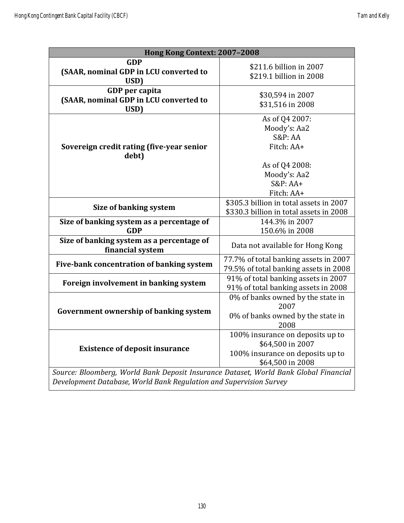| Hong Kong Context: 2007-2008                                                                                                                               |                                                                                                              |  |
|------------------------------------------------------------------------------------------------------------------------------------------------------------|--------------------------------------------------------------------------------------------------------------|--|
| <b>GDP</b><br>(SAAR, nominal GDP in LCU converted to<br>USD)                                                                                               | \$211.6 billion in 2007<br>\$219.1 billion in 2008                                                           |  |
| GDP per capita<br>(SAAR, nominal GDP in LCU converted to<br>USD)                                                                                           | \$30,594 in 2007<br>\$31,516 in 2008                                                                         |  |
| Sovereign credit rating (five-year senior<br>debt)                                                                                                         | As of Q4 2007:<br>Moody's: Aa2<br><b>S&amp;P: AA</b><br>Fitch: AA+                                           |  |
|                                                                                                                                                            | As of Q4 2008:<br>Moody's: Aa2<br>$S\&P:AA+$<br>Fitch: AA+                                                   |  |
| Size of banking system                                                                                                                                     | \$305.3 billion in total assets in 2007<br>\$330.3 billion in total assets in 2008                           |  |
| Size of banking system as a percentage of<br><b>GDP</b>                                                                                                    | 144.3% in 2007<br>150.6% in 2008                                                                             |  |
| Size of banking system as a percentage of<br>financial system                                                                                              | Data not available for Hong Kong                                                                             |  |
| Five-bank concentration of banking system                                                                                                                  | 77.7% of total banking assets in 2007<br>79.5% of total banking assets in 2008                               |  |
| Foreign involvement in banking system                                                                                                                      | 91% of total banking assets in 2007<br>91% of total banking assets in 2008                                   |  |
| Government ownership of banking system                                                                                                                     | 0% of banks owned by the state in<br>2007<br>0% of banks owned by the state in<br>2008                       |  |
| <b>Existence of deposit insurance</b>                                                                                                                      | 100% insurance on deposits up to<br>\$64,500 in 2007<br>100% insurance on deposits up to<br>\$64,500 in 2008 |  |
| Source: Bloomberg, World Bank Deposit Insurance Dataset, World Bank Global Financial<br>Development Database, World Bank Regulation and Supervision Survey |                                                                                                              |  |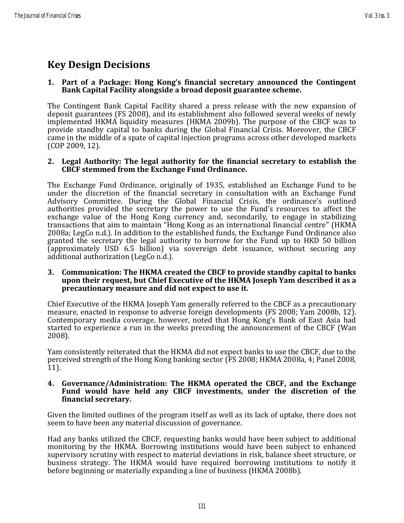# **Key Design Decisions**

#### **1. Part of a Package: Hong Kong's financial secretary announced the Contingent Bank Capital Facility alongside a broad deposit guarantee scheme.**

The Contingent Bank Capital Facility shared a press release with the new expansion of deposit guarantees (FS 2008), and its establishment also followed several weeks of newly implemented HKMA liquidity measures (HKMA 2009b). The purpose of the CBCF was to provide standby capital to banks during the Global Financial Crisis. Moreover, the CBCF came in the middle of a spate of capital injection programs across other developed markets (COP 2009, 12).

#### **2. Legal Authority: The legal authority for the financial secretary to establish the CBCF stemmed from the Exchange Fund Ordinance.**

The Exchange Fund Ordinance, originally of 1935, established an Exchange Fund to be under the discretion of the financial secretary in consultation with an Exchange Fund Advisory Committee. During the Global Financial Crisis, the ordinance's outlined authorities provided the secretary the power to use the Fund's resources to affect the exchange value of the Hong Kong currency and, secondarily, to engage in stabilizing transactions that aim to maintain "Hong Kong as an international financial centre" (HKMA 2008a; LegCo n.d.). In addition to the established funds, the Exchange Fund Ordinance also granted the secretary the legal authority to borrow for the Fund up to HKD 50 billion (approximately USD 6.5 billion) via sovereign debt issuance, without securing any additional authorization (LegCo n.d.).

#### **3. Communication: The HKMA created the CBCF to provide standby capital to banks upon their request, but Chief Executive of the HKMA Joseph Yam described it as a precautionary measure and did not expect to use it.**

Chief Executive of the HKMA Joseph Yam generally referred to the CBCF as a precautionary measure, enacted in response to adverse foreign developments (FS 2008; Yam 2008b, 12). Contemporary media coverage, however, noted that Hong Kong's Bank of East Asia had started to experience a run in the weeks preceding the announcement of the CBCF (Wan 2008).

Yam consistently reiterated that the HKMA did not expect banks to use the CBCF, due to the perceived strength of the Hong Kong banking sector (FS 2008; HKMA 2008a, 4; Panel 2008,  $[11]$ .

#### **4. Governance/Administration: The HKMA operated the CBCF, and the Exchange Fund would have held any CBCF investments, under the discretion of the financial secretary.**

Given the limited outlines of the program itself as well as its lack of uptake, there does not seem to have been any material discussion of governance.

Had any banks utilized the CBCF, requesting banks would have been subject to additional monitoring by the HKMA. Borrowing institutions would have been subject to enhanced supervisory scrutiny with respect to material deviations in risk, balance sheet structure, or business strategy. The HKMA would have required borrowing institutions to notify it before beginning or materially expanding a line of business (HKMA 2008b).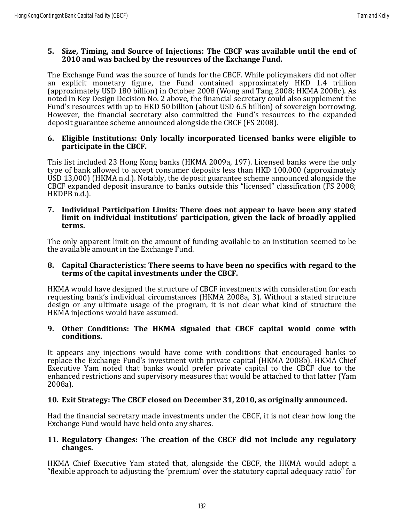#### **5. Size, Timing, and Source of Injections: The CBCF was available until the end of 2010 and was backed by the resources of the Exchange Fund.**

The Exchange Fund was the source of funds for the CBCF. While policymakers did not offer an explicit monetary figure, the Fund contained approximately HKD 1.4 trillion (approximately USD 180 billion) in October 2008 (Wong and Tang 2008; HKMA 2008c). As noted in Key Design Decision No. 2 above, the financial secretary could also supplement the Fund's resources with up to HKD 50 billion (about USD 6.5 billion) of sovereign borrowing. However, the financial secretary also committed the Fund's resources to the expanded deposit guarantee scheme announced alongside the CBCF (FS 2008).

#### **6. Eligible Institutions: Only locally incorporated licensed banks were eligible to participate in the CBCF.**

This list included 23 Hong Kong banks (HKMA 2009a, 197). Licensed banks were the only type of bank allowed to accept consumer deposits less than HKD 100,000 (approximately USD 13,000) (HKMA n.d.). Notably, the deposit guarantee scheme announced alongside the CBCF expanded deposit insurance to banks outside this "licensed" classification (FS 2008; HKDPB n.d.).

#### **7. Individual Participation Limits: There does not appear to have been any stated limit on individual institutions' participation, given the lack of broadly applied terms.**

The only apparent limit on the amount of funding available to an institution seemed to be the available amount in the Exchange Fund.

#### **8. Capital Characteristics: There seems to have been no specifics with regard to the terms of the capital investments under the CBCF.**

HKMA would have designed the structure of CBCF investments with consideration for each requesting bank's individual circumstances (HKMA 2008a, 3). Without a stated structure design or any ultimate usage of the program, it is not clear what kind of structure the HKMA injections would have assumed.

#### **9. Other Conditions: The HKMA signaled that CBCF capital would come with conditions.**

It appears any injections would have come with conditions that encouraged banks to replace the Exchange Fund's investment with private capital (HKMA 2008b). HKMA Chief Executive Yam noted that banks would prefer private capital to the CBCF due to the enhanced restrictions and supervisory measures that would be attached to that latter (Yam 2008a).

### **10. Exit Strategy: The CBCF closed on December 31, 2010, as originally announced.**

Had the financial secretary made investments under the CBCF, it is not clear how long the Exchange Fund would have held onto any shares.

#### **11. Regulatory Changes: The creation of the CBCF did not include any regulatory changes.**

HKMA Chief Executive Yam stated that, alongside the CBCF, the HKMA would adopt a "flexible approach to adjusting the 'premium' over the statutory capital adequacy ratio" for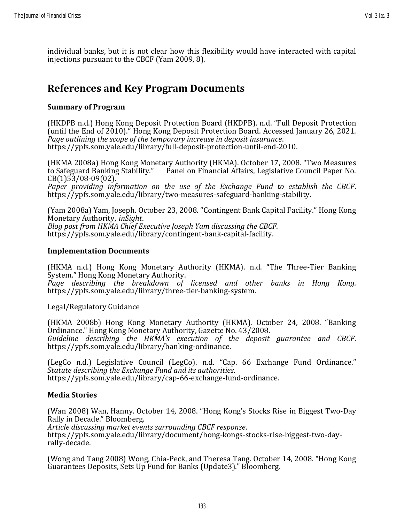individual banks, but it is not clear how this flexibility would have interacted with capital injections pursuant to the CBCF (Yam 2009, 8).

## **References and Key Program Documents**

### **Summary of Program**

(HKDPB n.d.) Hong Kong Deposit Protection Board (HKDPB). n.d. "Full Deposit Protection (until the End of 2010)." Hong Kong Deposit Protection Board. Accessed January 26, 2021. *Page outlining the scope of the temporary increase in deposit insurance*. https://ypfs.som.yale.edu/library/full-deposit-protection-until-end-2010.

(HKMA 2008a) Hong Kong Monetary Authority (HKMA). October 17, 2008. "Two Measures to Safeguard Banking Stability." Panel on Financial Affairs, Legislative Council Paper No. CB(1)53/08-09(02).

*Paper providing information on the use of the Exchange Fund to establish the CBCF*. https://ypfs.som.yale.edu/library/two-measures-safeguard-banking-stability.

(Yam 2008a) Yam, Joseph. October 23, 2008. "Contingent Bank Capital Facility." Hong Kong Monetary Authority, *inSight*. *Blog post from HKMA Chief Executive Joseph Yam discussing the CBCF*.

https://ypfs.som.yale.edu/library/contingent-bank-capital-facility.

#### **Implementation Documents**

(HKMA n.d.) Hong Kong Monetary Authority (HKMA). n.d. "The Three-Tier Banking System." Hong Kong Monetary Authority.

*Page describing the breakdown of licensed and other banks in Hong Kong.* https://ypfs.som.yale.edu/library/three-tier-banking-system.

Legal/Regulatory Guidance

(HKMA 2008b) Hong Kong Monetary Authority (HKMA). October 24, 2008. "Banking Ordinance." Hong Kong Monetary Authority, Gazette No. 43/2008. *Guideline describing the HKMA's execution of the deposit guarantee and CBCF.* https://ypfs.som.yale.edu/library/banking-ordinance.

(LegCo n.d.) Legislative Council (LegCo). n.d. "Cap. 66 Exchange Fund Ordinance." *Statute describing the Exchange Fund and its authorities*. https://ypfs.som.yale.edu/library/cap-66-exchange-fund-ordinance.

#### **Media Stories**

(Wan 2008) Wan, Hanny. October 14, 2008. "Hong Kong's Stocks Rise in Biggest Two-Day Rally in Decade." Bloomberg.

*Article discussing market events surrounding CBCF response*. https://ypfs.som.yale.edu/library/document/hong-kongs-stocks-rise-biggest-two-dayrally-decade.

(Wong and Tang 2008) Wong, Chia-Peck, and Theresa Tang. October 14, 2008. "Hong Kong Guarantees Deposits, Sets Up Fund for Banks (Update3)." Bloomberg.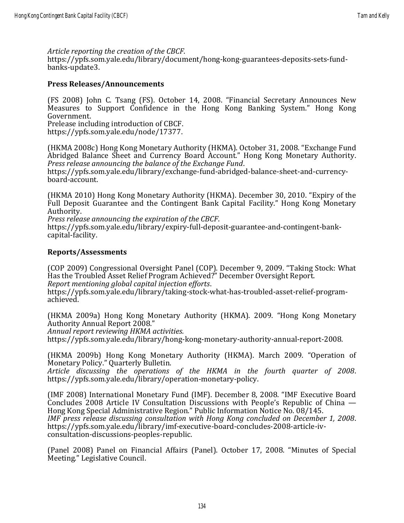*Article reporting the creation of the CBCF*.

https://ypfs.som.yale.edu/library/document/hong-kong-guarantees-deposits-sets-fundbanks-update3.

#### **Press Releases/Announcements**

(FS 2008) John C. Tsang (FS). October 14, 2008. "Financial Secretary Announces New Measures to Support Confidence in the Hong Kong Banking System." Hong Kong Government.

Prelease including introduction of CBCF. https://ypfs.som.yale.edu/node/17377.

(HKMA 2008c) Hong Kong Monetary Authority (HKMA). October 31, 2008. "Exchange Fund Abridged Balance Sheet and Currency Board Account." Hong Kong Monetary Authority. *Press release announcing the balance of the Exchange Fund*.

https://ypfs.som.yale.edu/library/exchange-fund-abridged-balance-sheet-and-currencyboard-account.

(HKMA 2010) Hong Kong Monetary Authority (HKMA). December 30, 2010. "Expiry of the Full Deposit Guarantee and the Contingent Bank Capital Facility." Hong Kong Monetary Authority.

*Press release announcing the expiration of the CBCF*.

https://ypfs.som.yale.edu/library/expiry-full-deposit-guarantee-and-contingent-bankcapital-facility.

#### **Reports/Assessments**

(COP 2009) Congressional Oversight Panel (COP). December 9, 2009. "Taking Stock: What Has the Troubled Asset Relief Program Achieved?" December Oversight Report. *Report mentioning global capital injection efforts*.

https://ypfs.som.yale.edu/library/taking-stock-what-has-troubled-asset-relief-programachieved.

(HKMA 2009a) Hong Kong Monetary Authority (HKMA). 2009. "Hong Kong Monetary Authority Annual Report 2008."

*Annual report reviewing HKMA activities.*

https://ypfs.som.yale.edu/library/hong-kong-monetary-authority-annual-report-2008.

(HKMA 2009b) Hong Kong Monetary Authority (HKMA). March 2009. "Operation of Monetary Policy." Quarterly Bulletin.

*Article discussing the operations of the HKMA in the fourth quarter of 2008*. https://ypfs.som.yale.edu/library/operation-monetary-policy.

(IMF 2008) International Monetary Fund (IMF). December 8, 2008. "IMF Executive Board Concludes 2008 Article IV Consultation Discussions with People's Republic of China — Hong Kong Special Administrative Region." Public Information Notice No. 08/145. *IMF press release discussing consultation with Hong Kong concluded on December 1, 2008*. https://ypfs.som.yale.edu/library/imf-executive-board-concludes-2008-article-ivconsultation-discussions-peoples-republic.

(Panel 2008) Panel on Financial Affairs (Panel). October 17, 2008. "Minutes of Special Meeting." Legislative Council.